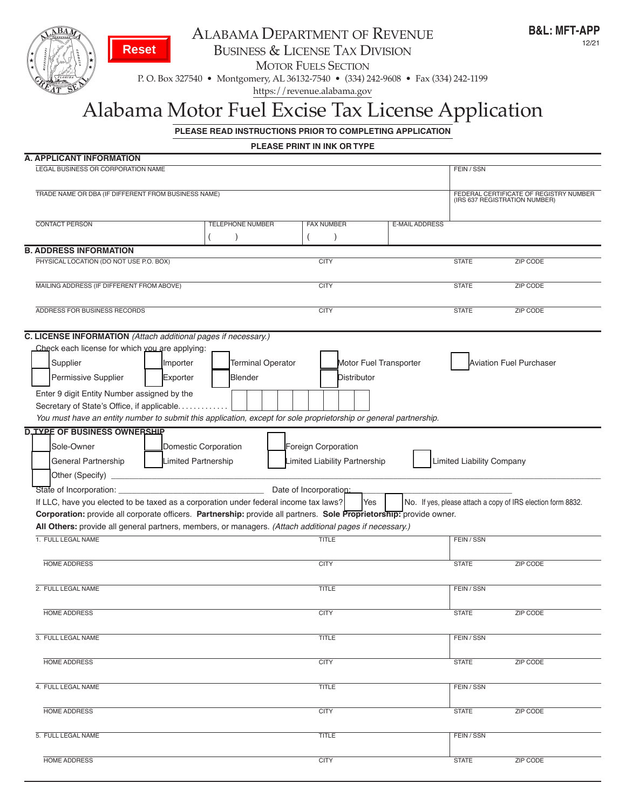

# ALABAMA DEPARTMENT OF REVENUE

business & license tAx Division

**MOTOR FUELS SECTION** 

p. o. box 327540 • montgomery, Al 36132-7540 • (334) 242-9608 • fax (334) 242-1199

https://revenue.alabama.gov

# Alabama Motor Fuel Excise Tax License Application

**PLEASE READ INSTRUCTIONS PRIOR TO COMPLETING APPLICATION** 

**PLEASE PRINT IN INK OR TYPE**

| A. APPLICANT INFORMATION                                                                                                      |                                                                         |                               |                       |                                  |                                                             |
|-------------------------------------------------------------------------------------------------------------------------------|-------------------------------------------------------------------------|-------------------------------|-----------------------|----------------------------------|-------------------------------------------------------------|
| LEGAL BUSINESS OR CORPORATION NAME                                                                                            | FEIN / SSN                                                              |                               |                       |                                  |                                                             |
| TRADE NAME OR DBA (IF DIFFERENT FROM BUSINESS NAME)                                                                           | FEDERAL CERTIFICATE OF REGISTRY NUMBER<br>(IRS 637 REGISTRATION NUMBER) |                               |                       |                                  |                                                             |
| <b>CONTACT PERSON</b>                                                                                                         | <b>TELEPHONE NUMBER</b>                                                 | <b>FAX NUMBER</b>             | <b>E-MAIL ADDRESS</b> |                                  |                                                             |
| <b>B. ADDRESS INFORMATION</b>                                                                                                 |                                                                         |                               |                       |                                  |                                                             |
| PHYSICAL LOCATION (DO NOT USE P.O. BOX)                                                                                       |                                                                         | <b>CITY</b>                   |                       | <b>STATE</b>                     | <b>ZIP CODE</b>                                             |
|                                                                                                                               |                                                                         |                               |                       |                                  |                                                             |
| MAILING ADDRESS (IF DIFFERENT FROM ABOVE)                                                                                     |                                                                         | <b>CITY</b>                   |                       | <b>STATE</b>                     | <b>ZIP CODE</b>                                             |
| ADDRESS FOR BUSINESS RECORDS                                                                                                  |                                                                         | <b>CITY</b>                   |                       | <b>STATE</b>                     | <b>ZIP CODE</b>                                             |
| C. LICENSE INFORMATION (Attach additional pages if necessary.)                                                                |                                                                         |                               |                       |                                  |                                                             |
| Check each license for which you are applying:                                                                                |                                                                         |                               |                       |                                  |                                                             |
| Supplier<br>Importer                                                                                                          | <b>Terminal Operator</b>                                                | Motor Fuel Transporter        |                       |                                  | <b>Aviation Fuel Purchaser</b>                              |
| Permissive Supplier<br>Exporter                                                                                               | <b>Blender</b>                                                          | Distributor                   |                       |                                  |                                                             |
| Enter 9 digit Entity Number assigned by the                                                                                   |                                                                         |                               |                       |                                  |                                                             |
| Secretary of State's Office, if applicable                                                                                    |                                                                         |                               |                       |                                  |                                                             |
| You must have an entity number to submit this application, except for sole proprietorship or general partnership.             |                                                                         |                               |                       |                                  |                                                             |
| <b>D. TYPE OF BUSINESS OWNERSHIP</b>                                                                                          |                                                                         |                               |                       |                                  |                                                             |
| Sole-Owner<br>Domestic Corporation                                                                                            |                                                                         | Foreign Corporation           |                       |                                  |                                                             |
|                                                                                                                               |                                                                         |                               |                       |                                  |                                                             |
| Limited Partnership<br>General Partnership                                                                                    |                                                                         | Limited Liability Partnership |                       | <b>Limited Liability Company</b> |                                                             |
| Other (Specify) _                                                                                                             |                                                                         |                               |                       |                                  |                                                             |
| State of Incorporation:                                                                                                       |                                                                         | Date of Incorporation:        |                       |                                  |                                                             |
| If LLC, have you elected to be taxed as a corporation under federal income tax laws?                                          |                                                                         | Yes                           |                       |                                  | No. If yes, please attach a copy of IRS election form 8832. |
| Corporation: provide all corporate officers. Partnership: provide all partners. Sole Proprietorship: provide owner.           |                                                                         |                               |                       |                                  |                                                             |
| All Others: provide all general partners, members, or managers. (Attach additional pages if necessary.)<br>1. FULL LEGAL NAME |                                                                         | <b>TITLE</b>                  |                       | FEIN / SSN                       |                                                             |
|                                                                                                                               |                                                                         |                               |                       |                                  |                                                             |
| <b>HOME ADDRESS</b>                                                                                                           |                                                                         | <b>CITY</b>                   |                       | <b>STATE</b>                     | ZIP CODE                                                    |
|                                                                                                                               |                                                                         |                               |                       |                                  |                                                             |
| 2. FULL LEGAL NAME                                                                                                            |                                                                         | <b>TITLE</b>                  |                       | FEIN / SSN                       |                                                             |
|                                                                                                                               |                                                                         |                               |                       |                                  |                                                             |
| <b>HOME ADDRESS</b>                                                                                                           |                                                                         | <b>CITY</b>                   |                       | <b>STATE</b>                     | <b>ZIP CODE</b>                                             |
| 3. FULL LEGAL NAME                                                                                                            |                                                                         | <b>TITLE</b>                  |                       | FEIN / SSN                       |                                                             |
|                                                                                                                               |                                                                         |                               |                       |                                  |                                                             |
| <b>HOME ADDRESS</b>                                                                                                           |                                                                         | <b>CITY</b>                   |                       | <b>STATE</b>                     | <b>ZIP CODE</b>                                             |
|                                                                                                                               |                                                                         |                               |                       |                                  |                                                             |
| 4. FULL LEGAL NAME                                                                                                            |                                                                         | <b>TITLE</b>                  |                       | FEIN / SSN                       |                                                             |
|                                                                                                                               |                                                                         |                               |                       |                                  |                                                             |
| <b>HOME ADDRESS</b>                                                                                                           |                                                                         | <b>CITY</b>                   |                       | <b>STATE</b>                     | <b>ZIP CODE</b>                                             |
| 5. FULL LEGAL NAME                                                                                                            |                                                                         | <b>TITLE</b>                  |                       | FEIN / SSN                       |                                                             |
|                                                                                                                               |                                                                         |                               |                       |                                  |                                                             |
| <b>HOME ADDRESS</b>                                                                                                           |                                                                         | <b>CITY</b>                   |                       | <b>STATE</b>                     | <b>ZIP CODE</b>                                             |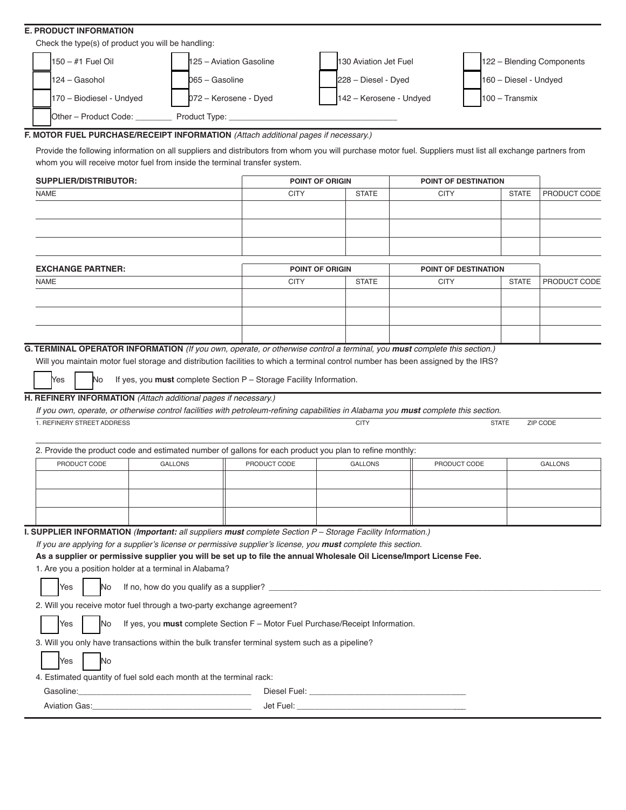#### **E. PRODUCT INFORMATION**

|  | Check the type(s) of product you will be handling: |  |                                 |  |                         |  |                           |  |  |  |
|--|----------------------------------------------------|--|---------------------------------|--|-------------------------|--|---------------------------|--|--|--|
|  | $150 - #1$ Fuel Oil                                |  | <b>h</b> 25 – Aviation Gasoline |  | 130 Aviation Jet Fuel   |  | 122 - Blending Components |  |  |  |
|  | 124 - Gasohol                                      |  | 065 – Gasoline                  |  | 228 - Diesel - Dyed     |  | $160 - Diesel - Undved$   |  |  |  |
|  | 170 - Biodiesel - Undyed                           |  | 072 - Kerosene - Dyed           |  | 142 - Kerosene - Undyed |  | $100 - Transmix$          |  |  |  |

Other – Product Code: \_\_\_\_\_\_\_\_ Product Type: \_\_\_\_\_\_\_\_\_\_\_\_\_\_\_\_\_\_\_\_\_\_\_\_\_\_\_\_\_\_\_\_\_\_\_\_\_

#### **F. MOTOR FUEL PURCHASE/RECEIPT INFORMATION** *(Attach additional pages if necessary.)*

Provide the following information on all suppliers and distributors from whom you will purchase motor fuel. Suppliers must list all exchange partners from whom you will receive motor fuel from inside the terminal transfer system.

| SUPPLIER/DISTRIBUTOR: | <b>POINT OF ORIGIN</b> |              | POINT OF DESTINATION |              |                     |
|-----------------------|------------------------|--------------|----------------------|--------------|---------------------|
| NAME                  | CITY                   | <b>STATE</b> | <b>CITY</b>          | <b>STATE</b> | <b>PRODUCT CODE</b> |
|                       |                        |              |                      |              |                     |
|                       |                        |              |                      |              |                     |
|                       |                        |              |                      |              |                     |
|                       |                        |              |                      |              |                     |
|                       |                        |              |                      |              |                     |

| <b>EXCHANGE PARTNER:</b> | <b>POINT OF ORIGIN</b> |              | POINT OF DESTINATION |              |                     |  |
|--------------------------|------------------------|--------------|----------------------|--------------|---------------------|--|
| <b>NAME</b>              | <b>CITY</b>            | <b>STATE</b> | <b>CITY</b>          | <b>STATE</b> | <b>PRODUCT CODE</b> |  |
|                          |                        |              |                      |              |                     |  |
|                          |                        |              |                      |              |                     |  |
|                          |                        |              |                      |              |                     |  |
|                          |                        |              |                      |              |                     |  |

# **G. TERMINAL OPERATOR INFORMATION** *(If you own, operate, or otherwise control a terminal, you must complete this section.)*

Will you maintain motor fuel storage and distribution facilities to which a terminal control number has been assigned by the IRS?

No If yes, you **must** complete Section P – Storage Facility Information.

#### **H. REFINERY INFORMATION** *(Attach additional pages if necessary.)*

*If you own, operate, or otherwise control facilities with petroleum-refining capabilities in Alabama you must complete this section.*

| . REFINERY STREET ADDRESS                              |                |                                                                                                                      | <b>CITY</b>    | <b>STATE</b> | ZIP CODE       |
|--------------------------------------------------------|----------------|----------------------------------------------------------------------------------------------------------------------|----------------|--------------|----------------|
|                                                        |                | 2. Provide the product code and estimated number of gallons for each product you plan to refine monthly:             |                |              |                |
| PRODUCT CODE                                           | <b>GALLONS</b> | PRODUCT CODE                                                                                                         | <b>GALLONS</b> | PRODUCT CODE | <b>GALLONS</b> |
|                                                        |                |                                                                                                                      |                |              |                |
|                                                        |                |                                                                                                                      |                |              |                |
|                                                        |                |                                                                                                                      |                |              |                |
|                                                        |                |                                                                                                                      |                |              |                |
|                                                        |                | <b>I. SUPPLIER INFORMATION (Important: all suppliers must complete Section P – Storage Facility Information.)</b>    |                |              |                |
|                                                        |                | If you are applying for a supplier's license or permissive supplier's license, you must complete this section.       |                |              |                |
|                                                        |                | As a supplier or permissive supplier you will be set up to file the annual Wholesale Oil License/Import License Fee. |                |              |                |
| 1. Are you a position holder at a terminal in Alabama? |                |                                                                                                                      |                |              |                |

|  | <b>Vac</b><br>100 | IN C | ∡ supplier′`<br>how do you quality<br>$"$ tno<br>as a<br>ю |  |
|--|-------------------|------|------------------------------------------------------------|--|
|  |                   |      |                                                            |  |

2. Will you receive motor fuel through a two-party exchange agreement?

No If yes, you **must** complete Section F – Motor Fuel Purchase/Receipt Information.

3. Will you only have transactions within the bulk transfer terminal system such as a pipeline?

| No<br><b>Yes</b> |
|------------------|
|------------------|

Yes

Yes

4. Estimated quantity of fuel sold each month at the terminal rack:

| `oline.          | uel:                     |
|------------------|--------------------------|
| п.               | )iesel                   |
| Gas:<br>Aviation | Jet F<br>⊤ ⊢uei.<br>____ |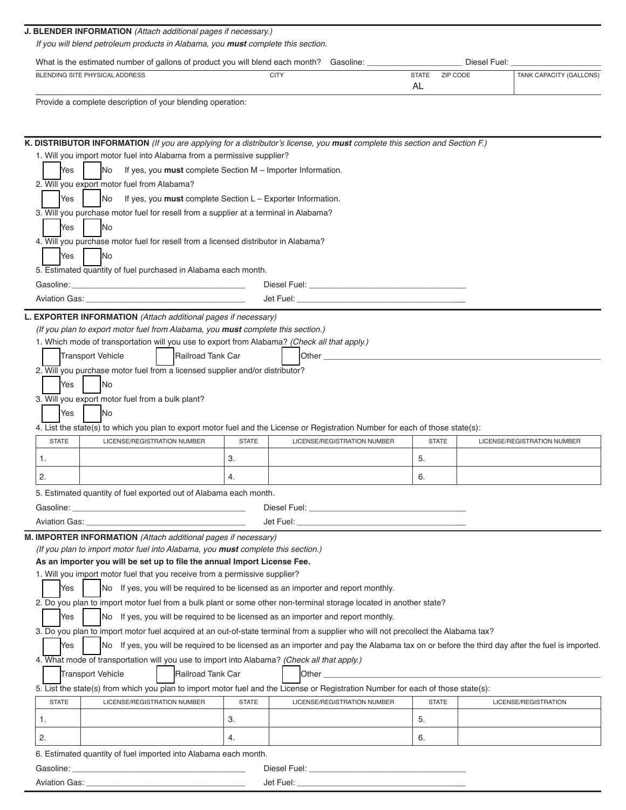| <b>J. BLENDER INFORMATION</b> (Attach additional pages if necessary.)<br>If you will blend petroleum products in Alabama, you <b>must</b> complete this section. |                                                                      |                    |              |                         |
|------------------------------------------------------------------------------------------------------------------------------------------------------------------|----------------------------------------------------------------------|--------------------|--------------|-------------------------|
| What is the estimated number of gallons of product you will blend each month?                                                                                    |                                                                      | Gasoline:          | Diesel Fuel: |                         |
| BLENDING SITE PHYSICAL ADDRESS                                                                                                                                   | <b>CITY</b>                                                          | <b>STATE</b><br>AL | ZIP CODE     | TANK CAPACITY (GALLONS) |
| Provide a complete description of your blending operation:                                                                                                       |                                                                      |                    |              |                         |
|                                                                                                                                                                  |                                                                      |                    |              |                         |
| <b>K. DISTRIBUTOR INFORMATION</b> (If you are applying for a distributor's license, you <b>must</b> complete this section and Section F.)                        |                                                                      |                    |              |                         |
| 1. Will you import motor fuel into Alabama from a permissive supplier?                                                                                           |                                                                      |                    |              |                         |
| Yes<br><b>No</b>                                                                                                                                                 | If yes, you must complete Section M – Importer Information.          |                    |              |                         |
| 2. Will you export motor fuel from Alabama?                                                                                                                      |                                                                      |                    |              |                         |
| Yes<br>INo                                                                                                                                                       | If yes, you <b>must</b> complete Section $L -$ Exporter Information. |                    |              |                         |
| 3. Will you purchase motor fuel for resell from a supplier at a terminal in Alabama?                                                                             |                                                                      |                    |              |                         |
| Yes<br><b>INo</b>                                                                                                                                                |                                                                      |                    |              |                         |
| 4. Will you purchase motor fuel for resell from a licensed distributor in Alabama?                                                                               |                                                                      |                    |              |                         |
| Yes<br><b>INo</b>                                                                                                                                                |                                                                      |                    |              |                         |
| 5. Estimated quantity of fuel purchased in Alabama each month.                                                                                                   |                                                                      |                    |              |                         |

| sour             | uel:<br>JIASE<br>◡<br>____ |
|------------------|----------------------------|
| וחוד בוי<br>uao. | Jet<br>Fuei.<br>____       |

#### **L. EXPORTER INFORMATION** *(Attach additional pages if necessary)*

*(If you plan to export motor fuel from Alabama, you must complete this section.)*

1. Which mode of transportation will you use to export from Alabama? *(Check all that apply.)*

|                                                  | <b>Transport Vehicle</b> |  |     |  | <b>IRailroad Tank Car</b>                                                    |  | <b>Other</b>                                                                                                                   |  |
|--------------------------------------------------|--------------------------|--|-----|--|------------------------------------------------------------------------------|--|--------------------------------------------------------------------------------------------------------------------------------|--|
|                                                  |                          |  |     |  | 2. Will you purchase motor fuel from a licensed supplier and/or distributor? |  |                                                                                                                                |  |
|                                                  | Yes                      |  | INo |  |                                                                              |  |                                                                                                                                |  |
| 3. Will you export motor fuel from a bulk plant? |                          |  |     |  |                                                                              |  |                                                                                                                                |  |
|                                                  | <b>Yes</b>               |  | INO |  |                                                                              |  |                                                                                                                                |  |
|                                                  |                          |  |     |  |                                                                              |  | 4. List the state(s) to which you plan to export motor fuel and the License or Registration Number for each of those state(s): |  |

| <b>STATE</b> | LICENSE/REGISTRATION NUMBER | <b>STATE</b> | LICENSE/REGISTRATION NUMBER | <b>STATE</b> | LICENSE/REGISTRATION NUMBER |
|--------------|-----------------------------|--------------|-----------------------------|--------------|-----------------------------|
|              |                             | U.           |                             | J.           |                             |
| <u>.</u>     |                             | т.           |                             | v.           |                             |

5. Estimated quantity of fuel exported out of Alabama each month.

| ╍<br>___ | ,,,,,, | _<br>uel:<br>,,, |
|----------|--------|------------------|
|----------|--------|------------------|

| $-0.00$<br>. IAT<br>AVIATION .<br>·uei.<br>. uas<br>-<br>. |  |
|------------------------------------------------------------|--|
|------------------------------------------------------------|--|

### **M. IMPORTER INFORMATION** *(Attach additional pages if necessary)*

*(If you plan to import motor fuel into Alabama, you must complete this section.)*

## **As an importer you will be set up to file the annual Import License Fee.**

1. Will you import motor fuel that you receive from a permissive supplier?

Yes No If yes, you will be required to be licensed as an importer and report monthly.

2. Do you plan to import motor fuel from a bulk plant or some other non-terminal storage located in another state?

 $Yes$ No If yes, you will be required to be licensed as an importer and report monthly.

3. Do you plan to import motor fuel acquired at an out-of-state terminal from a supplier who will not precollect the Alabama tax?

Yes No If yes, you will be required to be licensed as an importer and pay the Alabama tax on or before the third day after the fuel is imported.

# 4. What mode of transportation will you use to import into Alabama? *(Check all that apply.)*

#### **Transport Vehicle** Railroad Tank Car Other \_\_\_\_\_\_\_\_\_\_\_\_\_\_\_\_\_\_\_\_\_\_\_\_\_\_\_\_\_\_\_\_\_\_\_\_\_\_\_\_\_\_\_\_\_\_\_\_\_\_\_\_\_\_\_\_\_\_\_\_\_

5. List the state(s) from which you plan to import motor fuel and the License or Registration Number for each of those state(s):

| <b>STATE</b>                            | LICENSE/REGISTRATION NUMBER | <b>STATE</b> | LICENSE/REGISTRATION NUMBER | <b>STATE</b> | LICENSE/REGISTRATION |
|-----------------------------------------|-----------------------------|--------------|-----------------------------|--------------|----------------------|
|                                         |                             | J.           |                             | ັ            |                      |
| ۷.                                      |                             |              |                             | U.           |                      |
| $\sim$ $ \cdot$ $\cdot$ $\cdot$ $\cdot$ | .                           | $\cdots$     |                             |              |                      |

6. Estimated quantity of fuel imported into Alabama each month.

| Gasoline:            | ∃uel:<br>ำiese⊫           |
|----------------------|---------------------------|
| <b>Aviation Gas:</b> | Fue <sub>l</sub> .<br>Jet |